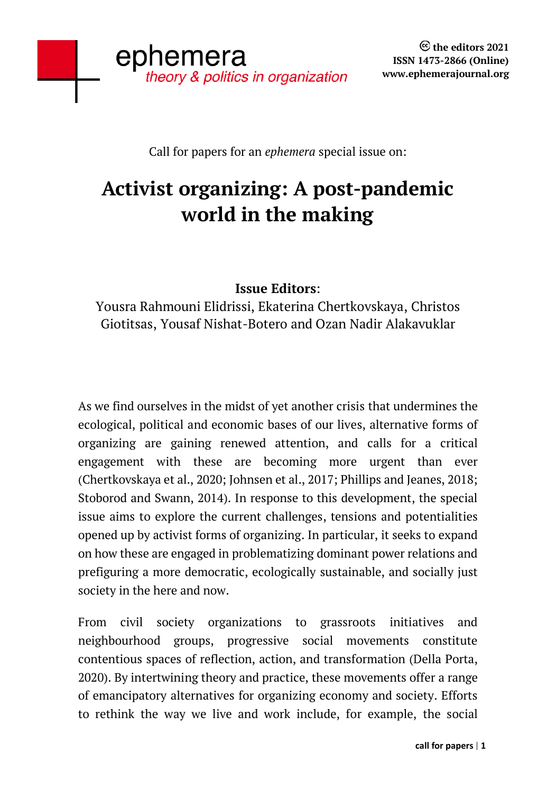Call for papers for an *ephemera* special issue on:

# **Activist organizing: A post-pandemic world in the making**

## **Issue Editors**:

Yousra Rahmouni Elidrissi, Ekaterina Chertkovskaya, Christos Giotitsas, Yousaf Nishat-Botero and Ozan Nadir Alakavuklar

As we find ourselves in the midst of yet another crisis that undermines the ecological, political and economic bases of our lives, alternative forms of organizing are gaining renewed attention, and calls for a critical engagement with these are becoming more urgent than ever (Chertkovskaya et al., 2020; Johnsen et al., 2017; Phillips and Jeanes, 2018; Stoborod and Swann, 2014). In response to this development, the special issue aims to explore the current challenges, tensions and potentialities opened up by activist forms of organizing. In particular, it seeks to expand on how these are engaged in problematizing dominant power relations and prefiguring a more democratic, ecologically sustainable, and socially just society in the here and now.

From civil society organizations to grassroots initiatives and neighbourhood groups, progressive social movements constitute contentious spaces of reflection, action, and transformation (Della Porta, 2020). By intertwining theory and practice, these movements offer a range of emancipatory alternatives for organizing economy and society. Efforts to rethink the way we live and work include, for example, the social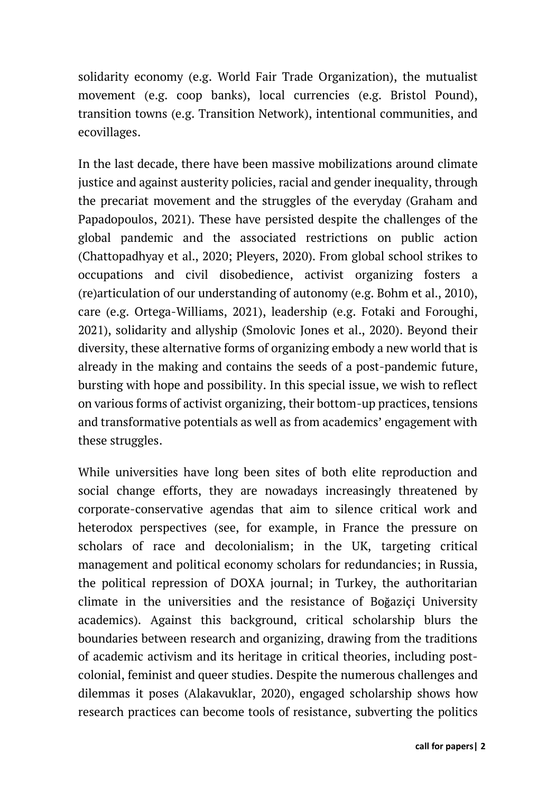solidarity economy (e.g. World Fair Trade Organization), the mutualist movement (e.g. coop banks), local currencies (e.g. Bristol Pound), transition towns (e.g. Transition Network), intentional communities, and ecovillages.

In the last decade, there have been massive mobilizations around climate justice and against austerity policies, racial and gender inequality, through the precariat movement and the struggles of the everyday (Graham and Papadopoulos, 2021). These have persisted despite the challenges of the global pandemic and the associated restrictions on public action (Chattopadhyay et al., 2020; Pleyers, 2020). From global school strikes to occupations and civil disobedience, activist organizing fosters a (re)articulation of our understanding of autonomy (e.g. Bohm et al., 2010), care (e.g. Ortega-Williams, 2021), leadership (e.g. Fotaki and Foroughi, 2021), solidarity and allyship (Smolovic Jones et al., 2020). Beyond their diversity, these alternative forms of organizing embody a new world that is already in the making and contains the seeds of a post-pandemic future, bursting with hope and possibility. In this special issue, we wish to reflect on various forms of activist organizing, their bottom-up practices, tensions and transformative potentials as well as from academics' engagement with these struggles.

While universities have long been sites of both elite reproduction and social change efforts, they are nowadays increasingly threatened by corporate-conservative agendas that aim to silence critical work and heterodox perspectives (see, for example, in [France](https://www.opendemocracy.net/en/can-europe-make-it/open-letter-the-threat-of-academic-authoritarianism-international-solidarity-with-antiracist-academics-in-france) the pressure on scholars of race and decolonialism; in the UK, [targeting critical](https://docs.google.com/forms/d/e/1FAIpQLSd6LKASpFkpwidMcqFrNl_dKzI07as4ZbtOQAiuJWpSlWwNIA/viewform)  [management and political economy scholars for redundancies;](https://docs.google.com/forms/d/e/1FAIpQLSd6LKASpFkpwidMcqFrNl_dKzI07as4ZbtOQAiuJWpSlWwNIA/viewform) in Russia, the [political repression of DOXA journal;](https://doxajournal.ru/statement) in Turkey, the authoritarian climate in the universities and the resistance of Boğaziçi University academics). Against this background, critical scholarship blurs the boundaries between research and organizing, drawing from the traditions of academic activism and its heritage in critical theories, including postcolonial, feminist and queer studies. Despite the numerous challenges and dilemmas it poses (Alakavuklar, 2020), engaged scholarship shows how research practices can become tools of resistance, subverting the politics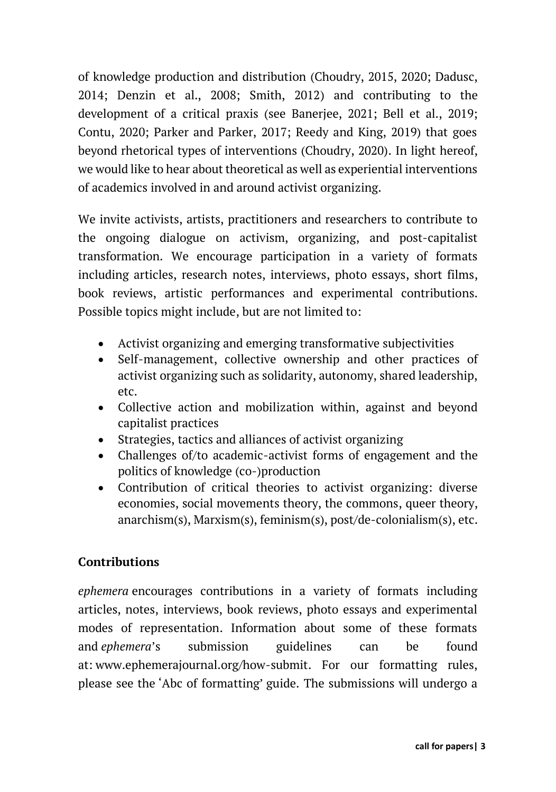of knowledge production and distribution (Choudry, 2015, 2020; Dadusc, 2014; Denzin et al., 2008; Smith, 2012) and contributing to the development of a critical praxis (see Banerjee, 2021; Bell et al., 2019; Contu, 2020; Parker and Parker, 2017; Reedy and King, 2019) that goes beyond rhetorical types of interventions (Choudry, 2020). In light hereof, we would like to hear about theoretical as well as experiential interventions of academics involved in and around activist organizing.

We invite activists, artists, practitioners and researchers to contribute to the ongoing dialogue on activism, organizing, and post-capitalist transformation. We encourage participation in a variety of formats including articles, research notes, interviews, photo essays, short films, book reviews, artistic performances and experimental contributions. Possible topics might include, but are not limited to:

- Activist organizing and emerging transformative subjectivities
- Self-management, collective ownership and other practices of activist organizing such as solidarity, autonomy, shared leadership, etc.
- Collective action and mobilization within, against and beyond capitalist practices
- Strategies, tactics and alliances of activist organizing
- Challenges of/to academic-activist forms of engagement and the politics of knowledge (co-)production
- Contribution of critical theories to activist organizing: diverse economies, social movements theory, the commons, queer theory, anarchism(s), Marxism(s), feminism(s), post/de-colonialism(s), etc.

## **Contributions**

*ephemera* encourages contributions in a variety of formats including articles, notes, interviews, book reviews, photo essays and experimental modes of representation. Information about some of these formats and *ephemera*'s submission guidelines can be found at: [www.ephemerajournal.org/how-submit.](http://www.ephemerajournal.org/how-submit) For our formatting rules, please see the ['Abc of formatting'](http://www.ephemerajournal.org/sites/default/files/other/10%20How%20to%20submit%3AAbc%20of%20formatting%20.pdf) guide. The submissions will undergo a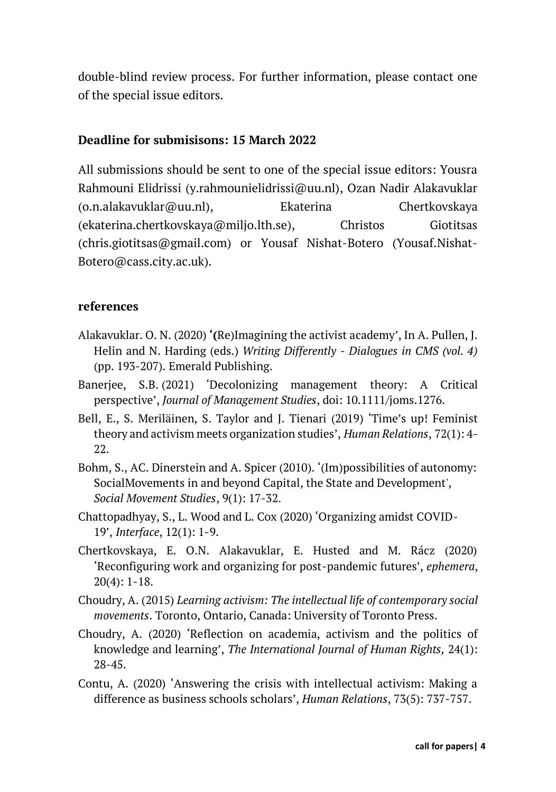double-blind review process. For further information, please contact one of the special issue editors.

#### **Deadline for submisisons: 15 March 2022**

All submissions should be sent to one of the special issue editors: Yousra Rahmouni Elidrissi (y.rahmounielidrissi@uu.nl), Ozan Nadir Alakavuklar (o.n.alakavuklar@uu.nl), Ekaterina Chertkovskaya [\(ekaterina.chertkovskaya@miljo.lth.se\)](mailto:ekaterina.chertkovskaya@miljo.lth.se), Christos Giotitsas [\(chris.giotitsas@gmail.com\)](mailto:chris.giotitsas@gmail.com) or Yousaf Nishat-Botero (Yousaf.Nishat-Botero@cass.city.ac.uk).

#### **references**

- Alakavuklar. O. N. (2020) **'(**Re)Imagining the activist academy', In A. Pullen, J. Helin and N. Harding (eds.) *Writing Differently* - *Dialogues in CMS (vol. 4)*  (pp. 193-207). Emerald Publishing.
- Banerjee, S.B. (2021) 'Decolonizing management theory: A Critical perspective', *Journal of Management Studies*, doi: 10.1111/joms.1276.
- Bell, E., S. Meriläinen, S. Taylor and J. Tienari (2019) 'Time's up! Feminist theory and activism meets organization studies', *Human Relations*, 72(1): 4- 22.
- Bohm, S., AC. Dinerstein and A. Spicer (2010). '(Im)possibilities of autonomy: SocialMovements in and beyond Capital, the State and Development', *Social Movement Studies*, 9(1): 17-32.
- Chattopadhyay, S., L. Wood and L. Cox (2020) 'Organizing amidst COVID-19', *Interface*, 12(1): 1-9.
- Chertkovskaya, E. O.N. Alakavuklar, E. Husted and M. Rácz (2020) 'Reconfiguring work and organizing for post-pandemic futures', *ephemera*, 20(4): 1-18.
- Choudry, A. (2015) *Learning activism: The intellectual life of contemporary social movements*. Toronto, Ontario, Canada: University of Toronto Press.
- Choudry, A. (2020) 'Reflection on academia, activism and the politics of knowledge and learning', *The International Journal of Human Rights,* 24(1): 28-45.
- Contu, A. (2020) 'Answering the crisis with intellectual activism: Making a difference as business schools scholars', *Human Relations*, 73(5): 737-757.